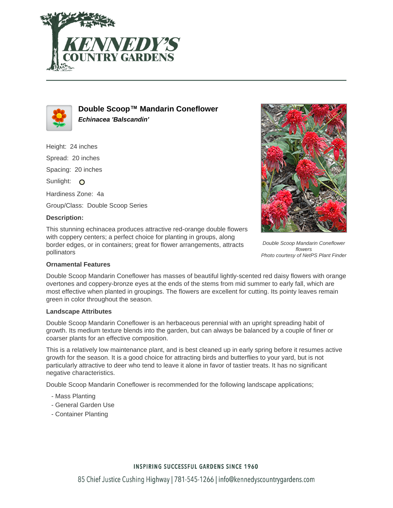



**Double Scoop™ Mandarin Coneflower Echinacea 'Balscandin'**

Height: 24 inches Spread: 20 inches Spacing: 20 inches Sunlight: O Hardiness Zone: 4a Group/Class: Double Scoop Series

### **Description:**

This stunning echinacea produces attractive red-orange double flowers with coppery centers; a perfect choice for planting in groups, along border edges, or in containers; great for flower arrangements, attracts pollinators



Double Scoop Mandarin Coneflower flowers Photo courtesy of NetPS Plant Finder

#### **Ornamental Features**

Double Scoop Mandarin Coneflower has masses of beautiful lightly-scented red daisy flowers with orange overtones and coppery-bronze eyes at the ends of the stems from mid summer to early fall, which are most effective when planted in groupings. The flowers are excellent for cutting. Its pointy leaves remain green in color throughout the season.

#### **Landscape Attributes**

Double Scoop Mandarin Coneflower is an herbaceous perennial with an upright spreading habit of growth. Its medium texture blends into the garden, but can always be balanced by a couple of finer or coarser plants for an effective composition.

This is a relatively low maintenance plant, and is best cleaned up in early spring before it resumes active growth for the season. It is a good choice for attracting birds and butterflies to your yard, but is not particularly attractive to deer who tend to leave it alone in favor of tastier treats. It has no significant negative characteristics.

Double Scoop Mandarin Coneflower is recommended for the following landscape applications;

- Mass Planting
- General Garden Use
- Container Planting

## **INSPIRING SUCCESSFUL GARDENS SINCE 1960**